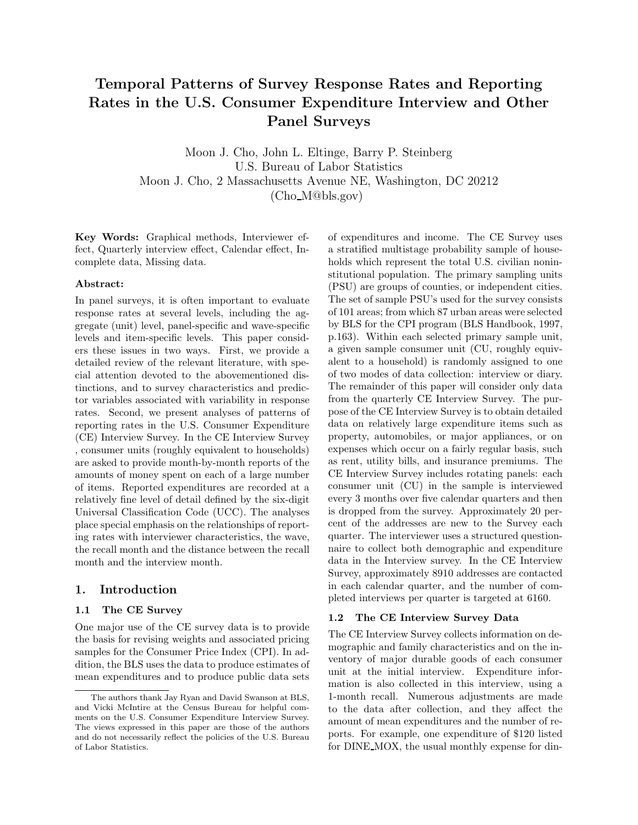# **Temporal Patterns of Survey Response Rates and Reporting Rates in the U.S. Consumer Expenditure Interview and Other Panel Surveys**

Moon J. Cho, John L. Eltinge, Barry P. Steinberg U.S. Bureau of Labor Statistics Moon J. Cho, 2 Massachusetts Avenue NE, Washington, DC 20212 (Cho M@bls.gov)

**Key Words:** Graphical methods, Interviewer effect, Quarterly interview effect, Calendar effect, Incomplete data, Missing data.

#### **Abstract:**

In panel surveys, it is often important to evaluate response rates at several levels, including the aggregate (unit) level, panel-specific and wave-specific levels and item-specific levels. This paper considers these issues in two ways. First, we provide a detailed review of the relevant literature, with special attention devoted to the abovementioned distinctions, and to survey characteristics and predictor variables associated with variability in response rates. Second, we present analyses of patterns of reporting rates in the U.S. Consumer Expenditure (CE) Interview Survey. In the CE Interview Survey , consumer units (roughly equivalent to households) are asked to provide month-by-month reports of the amounts of money spent on each of a large number of items. Reported expenditures are recorded at a relatively fine level of detail defined by the six-digit Universal Classification Code (UCC). The analyses place special emphasis on the relationships of reporting rates with interviewer characteristics, the wave, the recall month and the distance between the recall month and the interview month.

# **1. Introduction**

# **1.1 The CE Survey**

One major use of the CE survey data is to provide the basis for revising weights and associated pricing samples for the Consumer Price Index (CPI). In addition, the BLS uses the data to produce estimates of mean expenditures and to produce public data sets of expenditures and income. The CE Survey uses a stratified multistage probability sample of households which represent the total U.S. civilian noninstitutional population. The primary sampling units (PSU) are groups of counties, or independent cities. The set of sample PSU's used for the survey consists of 101 areas; from which 87 urban areas were selected by BLS for the CPI program (BLS Handbook, 1997, p.163). Within each selected primary sample unit, a given sample consumer unit (CU, roughly equivalent to a household) is randomly assigned to one of two modes of data collection: interview or diary. The remainder of this paper will consider only data from the quarterly CE Interview Survey. The purpose of the CE Interview Survey is to obtain detailed data on relatively large expenditure items such as property, automobiles, or major appliances, or on expenses which occur on a fairly regular basis, such as rent, utility bills, and insurance premiums. The CE Interview Survey includes rotating panels: each consumer unit (CU) in the sample is interviewed every 3 months over five calendar quarters and then is dropped from the survey. Approximately 20 percent of the addresses are new to the Survey each quarter. The interviewer uses a structured questionnaire to collect both demographic and expenditure data in the Interview survey. In the CE Interview Survey, approximately 8910 addresses are contacted in each calendar quarter, and the number of completed interviews per quarter is targeted at 6160.

#### **1.2 The CE Interview Survey Data**

The CE Interview Survey collects information on demographic and family characteristics and on the inventory of major durable goods of each consumer unit at the initial interview. Expenditure information is also collected in this interview, using a 1-month recall. Numerous adjustments are made to the data after collection, and they affect the amount of mean expenditures and the number of reports. For example, one expenditure of \$120 listed for DINE MOX, the usual monthly expense for din-

The authors thank Jay Ryan and David Swanson at BLS, and Vicki McIntire at the Census Bureau for helpful comments on the U.S. Consumer Expenditure Interview Survey. The views expressed in this paper are those of the authors and do not necessarily reflect the policies of the U.S. Bureau of Labor Statistics.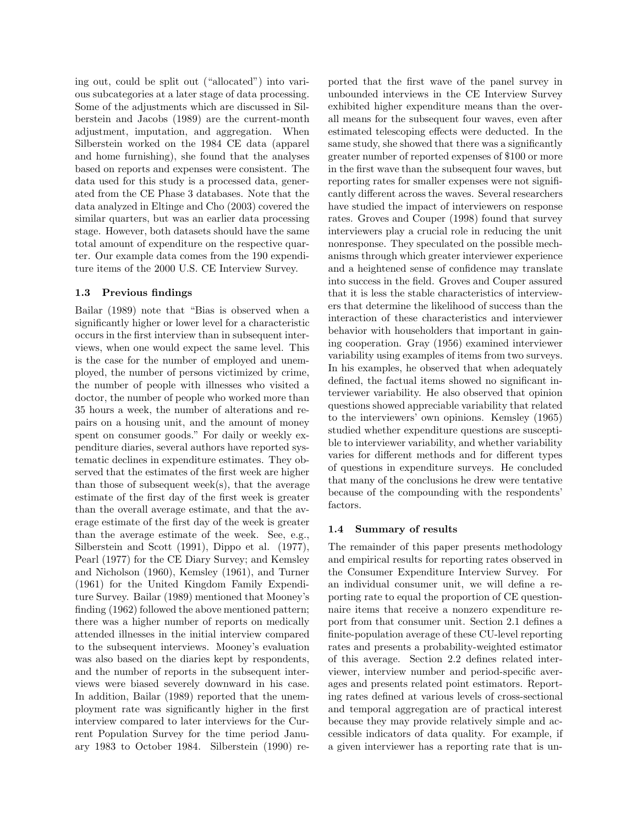ing out, could be split out ("allocated") into various subcategories at a later stage of data processing. Some of the adjustments which are discussed in Silberstein and Jacobs (1989) are the current-month adjustment, imputation, and aggregation. When Silberstein worked on the 1984 CE data (apparel and home furnishing), she found that the analyses based on reports and expenses were consistent. The data used for this study is a processed data, generated from the CE Phase 3 databases. Note that the data analyzed in Eltinge and Cho (2003) covered the similar quarters, but was an earlier data processing stage. However, both datasets should have the same total amount of expenditure on the respective quarter. Our example data comes from the 190 expenditure items of the 2000 U.S. CE Interview Survey.

### **1.3 Previous findings**

Bailar (1989) note that "Bias is observed when a significantly higher or lower level for a characteristic occurs in the first interview than in subsequent interviews, when one would expect the same level. This is the case for the number of employed and unemployed, the number of persons victimized by crime, the number of people with illnesses who visited a doctor, the number of people who worked more than 35 hours a week, the number of alterations and repairs on a housing unit, and the amount of money spent on consumer goods." For daily or weekly expenditure diaries, several authors have reported systematic declines in expenditure estimates. They observed that the estimates of the first week are higher than those of subsequent week(s), that the average estimate of the first day of the first week is greater than the overall average estimate, and that the average estimate of the first day of the week is greater than the average estimate of the week. See, e.g., Silberstein and Scott (1991), Dippo et al. (1977), Pearl (1977) for the CE Diary Survey; and Kemsley and Nicholson (1960), Kemsley (1961), and Turner (1961) for the United Kingdom Family Expenditure Survey. Bailar (1989) mentioned that Mooney's finding (1962) followed the above mentioned pattern; there was a higher number of reports on medically attended illnesses in the initial interview compared to the subsequent interviews. Mooney's evaluation was also based on the diaries kept by respondents, and the number of reports in the subsequent interviews were biased severely downward in his case. In addition, Bailar (1989) reported that the unemployment rate was significantly higher in the first interview compared to later interviews for the Current Population Survey for the time period January 1983 to October 1984. Silberstein (1990) reported that the first wave of the panel survey in unbounded interviews in the CE Interview Survey exhibited higher expenditure means than the overall means for the subsequent four waves, even after estimated telescoping effects were deducted. In the same study, she showed that there was a significantly greater number of reported expenses of \$100 or more in the first wave than the subsequent four waves, but reporting rates for smaller expenses were not significantly different across the waves. Several researchers have studied the impact of interviewers on response rates. Groves and Couper (1998) found that survey interviewers play a crucial role in reducing the unit nonresponse. They speculated on the possible mechanisms through which greater interviewer experience and a heightened sense of confidence may translate into success in the field. Groves and Couper assured that it is less the stable characteristics of interviewers that determine the likelihood of success than the interaction of these characteristics and interviewer behavior with householders that important in gaining cooperation. Gray (1956) examined interviewer variability using examples of items from two surveys. In his examples, he observed that when adequately defined, the factual items showed no significant interviewer variability. He also observed that opinion questions showed appreciable variability that related to the interviewers' own opinions. Kemsley (1965) studied whether expenditure questions are susceptible to interviewer variability, and whether variability varies for different methods and for different types of questions in expenditure surveys. He concluded that many of the conclusions he drew were tentative because of the compounding with the respondents' factors.

# **1.4 Summary of results**

The remainder of this paper presents methodology and empirical results for reporting rates observed in the Consumer Expenditure Interview Survey. For an individual consumer unit, we will define a reporting rate to equal the proportion of CE questionnaire items that receive a nonzero expenditure report from that consumer unit. Section 2.1 defines a finite-population average of these CU-level reporting rates and presents a probability-weighted estimator of this average. Section 2.2 defines related interviewer, interview number and period-specific averages and presents related point estimators. Reporting rates defined at various levels of cross-sectional and temporal aggregation are of practical interest because they may provide relatively simple and accessible indicators of data quality. For example, if a given interviewer has a reporting rate that is un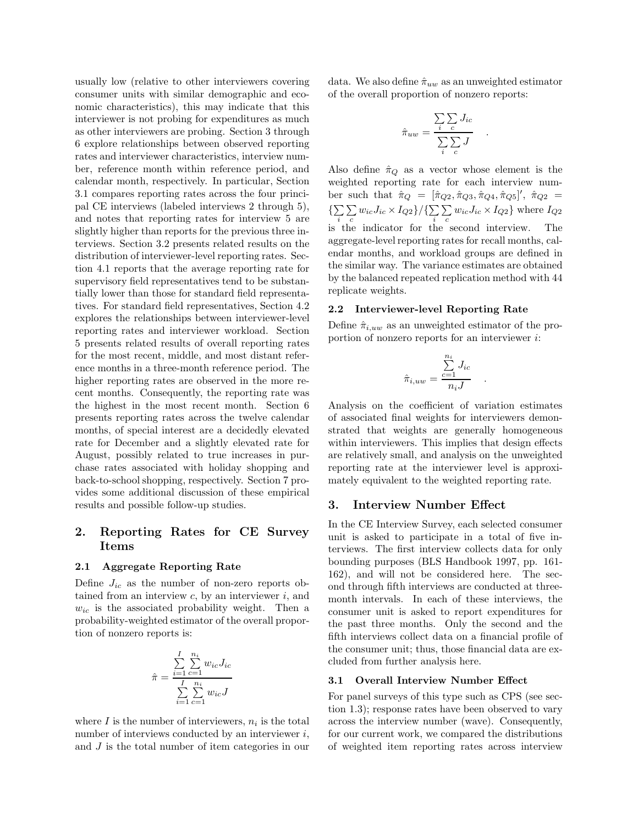usually low (relative to other interviewers covering consumer units with similar demographic and economic characteristics), this may indicate that this interviewer is not probing for expenditures as much as other interviewers are probing. Section 3 through 6 explore relationships between observed reporting rates and interviewer characteristics, interview number, reference month within reference period, and calendar month, respectively. In particular, Section 3.1 compares reporting rates across the four principal CE interviews (labeled interviews 2 through 5), and notes that reporting rates for interview 5 are slightly higher than reports for the previous three interviews. Section 3.2 presents related results on the distribution of interviewer-level reporting rates. Section 4.1 reports that the average reporting rate for supervisory field representatives tend to be substantially lower than those for standard field representatives. For standard field representatives, Section 4.2 explores the relationships between interviewer-level reporting rates and interviewer workload. Section 5 presents related results of overall reporting rates for the most recent, middle, and most distant reference months in a three-month reference period. The higher reporting rates are observed in the more recent months. Consequently, the reporting rate was the highest in the most recent month. Section 6 presents reporting rates across the twelve calendar months, of special interest are a decidedly elevated rate for December and a slightly elevated rate for August, possibly related to true increases in purchase rates associated with holiday shopping and back-to-school shopping, respectively. Section 7 provides some additional discussion of these empirical results and possible follow-up studies.

# **2. Reporting Rates for CE Survey Items**

### **2.1 Aggregate Reporting Rate**

Define  $J_{ic}$  as the number of non-zero reports obtained from an interview *c*, by an interviewer *i*, and  $w_{ic}$  is the associated probability weight. Then a probability-weighted estimator of the overall proportion of nonzero reports is:

$$
\hat{\pi} = \frac{\sum\limits_{i=1}^{I}\sum\limits_{c=1}^{n_i}w_{ic}J_{ic}}{\sum\limits_{i=1}^{I}\sum\limits_{c=1}^{n_i}w_{ic}J}
$$

where  $I$  is the number of interviewers,  $n_i$  is the total number of interviews conducted by an interviewer *i*, and *J* is the total number of item categories in our data. We also define  $\hat{\pi}_{uw}$  as an unweighted estimator of the overall proportion of nonzero reports:

$$
\hat{\pi}_{uw} = \frac{\sum_{i} \sum_{c} J_{ic}}{\sum_{i} \sum_{c} J} .
$$

Also define  $\hat{\pi}_Q$  as a vector whose element is the weighted reporting rate for each interview number such that  $\hat{\pi}_Q = [\hat{\pi}_{Q_2}, \hat{\pi}_{Q_3}, \hat{\pi}_{Q_4}, \hat{\pi}_{Q_5}]', \hat{\pi}_{Q_2} =$  $\overline{\Sigma}$ i  $\overline{r}$  $\sum_c w_{ic} J_{ic} \times I_{Q2}$ }/{ $\sum_i$ i  $\sum$  $\sum_{c} w_{ic} J_{ic} \times I_{Q2}$ } where  $I_{Q2}$ is the indicator for the second interview. The aggregate-level reporting rates for recall months, calendar months, and workload groups are defined in the similar way. The variance estimates are obtained by the balanced repeated replication method with 44 replicate weights.

#### **2.2 Interviewer-level Reporting Rate**

Define  $\hat{\pi}_{i,uw}$  as an unweighted estimator of the proportion of nonzero reports for an interviewer *i*:

$$
\hat{\pi}_{i,uw} = \frac{\sum_{c=1}^{n_i} J_{ic}}{n_i J} .
$$

Analysis on the coefficient of variation estimates of associated final weights for interviewers demonstrated that weights are generally homogeneous within interviewers. This implies that design effects are relatively small, and analysis on the unweighted reporting rate at the interviewer level is approximately equivalent to the weighted reporting rate.

#### **3. Interview Number Effect**

In the CE Interview Survey, each selected consumer unit is asked to participate in a total of five interviews. The first interview collects data for only bounding purposes (BLS Handbook 1997, pp. 161- 162), and will not be considered here. The second through fifth interviews are conducted at threemonth intervals. In each of these interviews, the consumer unit is asked to report expenditures for the past three months. Only the second and the fifth interviews collect data on a financial profile of the consumer unit; thus, those financial data are excluded from further analysis here.

### **3.1 Overall Interview Number Effect**

For panel surveys of this type such as CPS (see section 1.3); response rates have been observed to vary across the interview number (wave). Consequently, for our current work, we compared the distributions of weighted item reporting rates across interview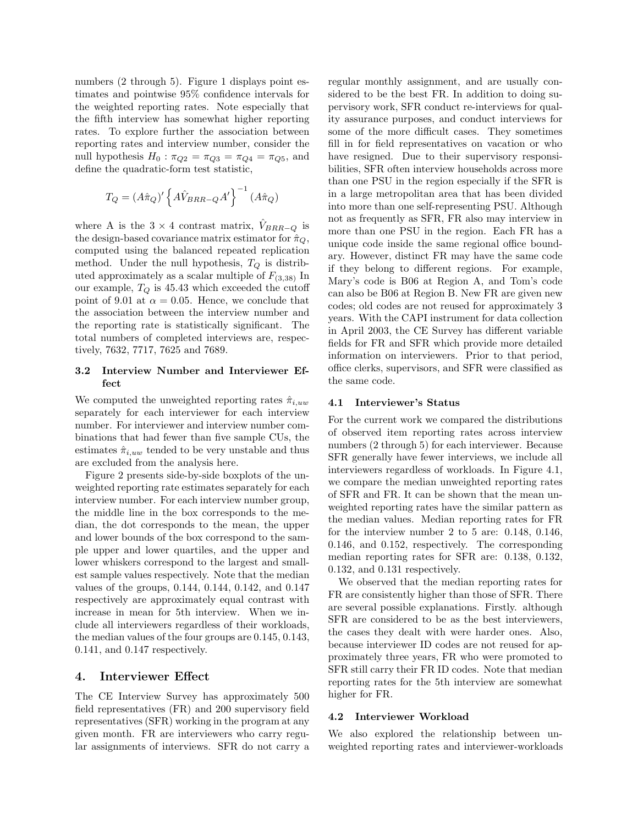numbers (2 through 5). Figure 1 displays point estimates and pointwise 95% confidence intervals for the weighted reporting rates. Note especially that the fifth interview has somewhat higher reporting rates. To explore further the association between reporting rates and interview number, consider the null hypothesis  $H_0: \pi_{Q2} = \pi_{Q3} = \pi_{Q4} = \pi_{Q5}$ , and define the quadratic-form test statistic,

$$
T_Q = (A\hat{\pi}_Q)' \left\{ A\hat{V}_{BRR-Q}A' \right\}^{-1} (A\hat{\pi}_Q)
$$

where A is the  $3 \times 4$  contrast matrix,  $V_{BRR-Q}$  is the design-based covariance matrix estimator for  $\hat{\pi}_Q$ , computed using the balanced repeated replication method. Under the null hypothesis,  $T_Q$  is distributed approximately as a scalar multiple of  $F_{(3,38)}$  In our example,  $T_Q$  is 45.43 which exceeded the cutoff point of 9.01 at  $\alpha = 0.05$ . Hence, we conclude that the association between the interview number and the reporting rate is statistically significant. The total numbers of completed interviews are, respectively, 7632, 7717, 7625 and 7689.

# **3.2 Interview Number and Interviewer Effect**

We computed the unweighted reporting rates  $\hat{\pi}_{i,uw}$ separately for each interviewer for each interview number. For interviewer and interview number combinations that had fewer than five sample CUs, the estimates  $\hat{\pi}_{i,uw}$  tended to be very unstable and thus are excluded from the analysis here.

Figure 2 presents side-by-side boxplots of the unweighted reporting rate estimates separately for each interview number. For each interview number group, the middle line in the box corresponds to the median, the dot corresponds to the mean, the upper and lower bounds of the box correspond to the sample upper and lower quartiles, and the upper and lower whiskers correspond to the largest and smallest sample values respectively. Note that the median values of the groups, 0.144, 0.144, 0.142, and 0.147 respectively are approximately equal contrast with increase in mean for 5th interview. When we include all interviewers regardless of their workloads, the median values of the four groups are 0.145, 0.143, 0.141, and 0.147 respectively.

# **4. Interviewer Effect**

The CE Interview Survey has approximately 500 field representatives (FR) and 200 supervisory field representatives (SFR) working in the program at any given month. FR are interviewers who carry regular assignments of interviews. SFR do not carry a regular monthly assignment, and are usually considered to be the best FR. In addition to doing supervisory work, SFR conduct re-interviews for quality assurance purposes, and conduct interviews for some of the more difficult cases. They sometimes fill in for field representatives on vacation or who have resigned. Due to their supervisory responsibilities, SFR often interview households across more than one PSU in the region especially if the SFR is in a large metropolitan area that has been divided into more than one self-representing PSU. Although not as frequently as SFR, FR also may interview in more than one PSU in the region. Each FR has a unique code inside the same regional office boundary. However, distinct FR may have the same code if they belong to different regions. For example, Mary's code is B06 at Region A, and Tom's code can also be B06 at Region B. New FR are given new codes; old codes are not reused for approximately 3 years. With the CAPI instrument for data collection in April 2003, the CE Survey has different variable fields for FR and SFR which provide more detailed information on interviewers. Prior to that period, office clerks, supervisors, and SFR were classified as the same code.

#### **4.1 Interviewer's Status**

For the current work we compared the distributions of observed item reporting rates across interview numbers (2 through 5) for each interviewer. Because SFR generally have fewer interviews, we include all interviewers regardless of workloads. In Figure 4.1, we compare the median unweighted reporting rates of SFR and FR. It can be shown that the mean unweighted reporting rates have the similar pattern as the median values. Median reporting rates for FR for the interview number 2 to 5 are: 0.148, 0.146, 0.146, and 0.152, respectively. The corresponding median reporting rates for SFR are: 0.138, 0.132, 0.132, and 0.131 respectively.

We observed that the median reporting rates for FR are consistently higher than those of SFR. There are several possible explanations. Firstly. although SFR are considered to be as the best interviewers, the cases they dealt with were harder ones. Also, because interviewer ID codes are not reused for approximately three years, FR who were promoted to SFR still carry their FR ID codes. Note that median reporting rates for the 5th interview are somewhat higher for FR.

#### **4.2 Interviewer Workload**

We also explored the relationship between unweighted reporting rates and interviewer-workloads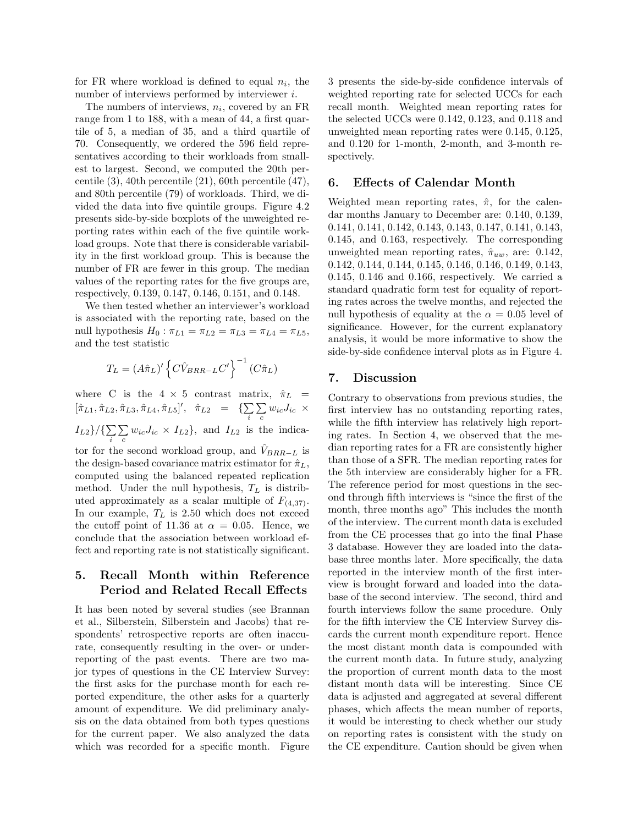for FR where workload is defined to equal  $n_i$ , the number of interviews performed by interviewer *i*.

The numbers of interviews,  $n_i$ , covered by an FR range from 1 to 188, with a mean of 44, a first quartile of 5, a median of 35, and a third quartile of 70. Consequently, we ordered the 596 field representatives according to their workloads from smallest to largest. Second, we computed the 20th percentile (3), 40th percentile (21), 60th percentile (47), and 80th percentile (79) of workloads. Third, we divided the data into five quintile groups. Figure 4.2 presents side-by-side boxplots of the unweighted reporting rates within each of the five quintile workload groups. Note that there is considerable variability in the first workload group. This is because the number of FR are fewer in this group. The median values of the reporting rates for the five groups are, respectively, 0.139, 0.147, 0.146, 0.151, and 0.148.

We then tested whether an interviewer's workload is associated with the reporting rate, based on the null hypothesis  $H_0: \pi_{L1} = \pi_{L2} = \pi_{L3} = \pi_{L4} = \pi_{L5}$ , and the test statistic

$$
T_L = (A\hat{\pi}_L)' \left\{ C\hat{V}_{BRR-L}C' \right\}^{-1} (C\hat{\pi}_L)
$$

where C is the  $4 \times 5$  contrast matrix,  $\hat{\pi}_L$  =  $[\hat{\pi}_{L1}, \hat{\pi}_{L2}, \hat{\pi}_{L3}, \hat{\pi}_{L4}, \hat{\pi}_{L5}]', \hat{\pi}_{L2} = \{\sum$ i  $\overline{r}$  $\sum_c w_{ic}J_{ic} \times$  $I_{L2}$ }/ $\{\sum$ i  $\overline{a}$  $\sum_{c} w_{ic} J_{ic} \times I_{L2}$ , and  $I_{L2}$  is the indicator for the second workload group, and  $\hat{V}_{BRR-L}$  is the design-based covariance matrix estimator for  $\hat{\pi}_L$ , computed using the balanced repeated replication method. Under the null hypothesis,  $T_L$  is distributed approximately as a scalar multiple of  $F_{(4,37)}$ . In our example,  $T_L$  is 2.50 which does not exceed the cutoff point of 11.36 at  $\alpha = 0.05$ . Hence, we conclude that the association between workload effect and reporting rate is not statistically significant.

# **5. Recall Month within Reference Period and Related Recall Effects**

It has been noted by several studies (see Brannan et al., Silberstein, Silberstein and Jacobs) that respondents' retrospective reports are often inaccurate, consequently resulting in the over- or underreporting of the past events. There are two major types of questions in the CE Interview Survey: the first asks for the purchase month for each reported expenditure, the other asks for a quarterly amount of expenditure. We did preliminary analysis on the data obtained from both types questions for the current paper. We also analyzed the data which was recorded for a specific month. Figure 3 presents the side-by-side confidence intervals of weighted reporting rate for selected UCCs for each recall month. Weighted mean reporting rates for the selected UCCs were 0.142, 0.123, and 0.118 and unweighted mean reporting rates were 0.145, 0.125, and 0.120 for 1-month, 2-month, and 3-month respectively.

# **6. Effects of Calendar Month**

Weighted mean reporting rates,  $\hat{\pi}$ , for the calendar months January to December are: 0.140, 0.139, 0.141, 0.141, 0.142, 0.143, 0.143, 0.147, 0.141, 0.143, 0.145, and 0.163, respectively. The corresponding unweighted mean reporting rates,  $\hat{\pi}_{uw}$ , are: 0.142, 0.142, 0.144, 0.144, 0.145, 0.146, 0.146, 0.149, 0.143, 0.145, 0.146 and 0.166, respectively. We carried a standard quadratic form test for equality of reporting rates across the twelve months, and rejected the null hypothesis of equality at the  $\alpha = 0.05$  level of significance. However, for the current explanatory analysis, it would be more informative to show the side-by-side confidence interval plots as in Figure 4.

# **7. Discussion**

Contrary to observations from previous studies, the first interview has no outstanding reporting rates, while the fifth interview has relatively high reporting rates. In Section 4, we observed that the median reporting rates for a FR are consistently higher than those of a SFR. The median reporting rates for the 5th interview are considerably higher for a FR. The reference period for most questions in the second through fifth interviews is "since the first of the month, three months ago" This includes the month of the interview. The current month data is excluded from the CE processes that go into the final Phase 3 database. However they are loaded into the database three months later. More specifically, the data reported in the interview month of the first interview is brought forward and loaded into the database of the second interview. The second, third and fourth interviews follow the same procedure. Only for the fifth interview the CE Interview Survey discards the current month expenditure report. Hence the most distant month data is compounded with the current month data. In future study, analyzing the proportion of current month data to the most distant month data will be interesting. Since CE data is adjusted and aggregated at several different phases, which affects the mean number of reports, it would be interesting to check whether our study on reporting rates is consistent with the study on the CE expenditure. Caution should be given when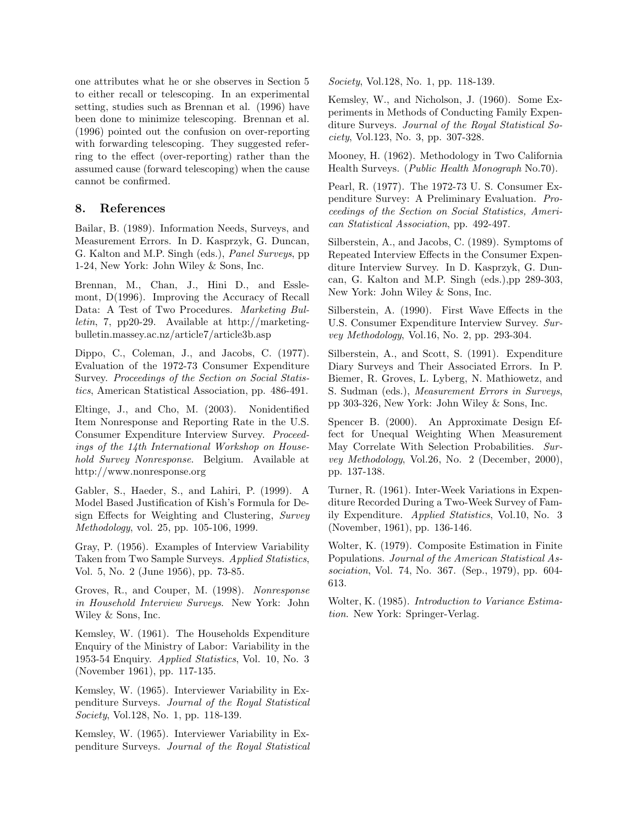one attributes what he or she observes in Section 5 to either recall or telescoping. In an experimental setting, studies such as Brennan et al. (1996) have been done to minimize telescoping. Brennan et al. (1996) pointed out the confusion on over-reporting with forwarding telescoping. They suggested referring to the effect (over-reporting) rather than the assumed cause (forward telescoping) when the cause cannot be confirmed.

# **8. References**

Bailar, B. (1989). Information Needs, Surveys, and Measurement Errors. In D. Kasprzyk, G. Duncan, G. Kalton and M.P. Singh (eds.), *Panel Surveys*, pp 1-24, New York: John Wiley & Sons, Inc.

Brennan, M., Chan, J., Hini D., and Esslemont, D(1996). Improving the Accuracy of Recall Data: A Test of Two Procedures. *Marketing Bulletin*, 7, pp20-29. Available at http://marketingbulletin.massey.ac.nz/article7/article3b.asp

Dippo, C., Coleman, J., and Jacobs, C. (1977). Evaluation of the 1972-73 Consumer Expenditure Survey. *Proceedings of the Section on Social Statistics*, American Statistical Association, pp. 486-491.

Eltinge, J., and Cho, M. (2003). Nonidentified Item Nonresponse and Reporting Rate in the U.S. Consumer Expenditure Interview Survey. *Proceedings of the 14th International Workshop on Household Survey Nonresponse*. Belgium. Available at http://www.nonresponse.org

Gabler, S., Haeder, S., and Lahiri, P. (1999). A Model Based Justification of Kish's Formula for Design Effects for Weighting and Clustering, *Survey Methodology*, vol. 25, pp. 105-106, 1999.

Gray, P. (1956). Examples of Interview Variability Taken from Two Sample Surveys. *Applied Statistics*, Vol. 5, No. 2 (June 1956), pp. 73-85.

Groves, R., and Couper, M. (1998). *Nonresponse in Household Interview Surveys*. New York: John Wiley & Sons, Inc.

Kemsley, W. (1961). The Households Expenditure Enquiry of the Ministry of Labor: Variability in the 1953-54 Enquiry. *Applied Statistics*, Vol. 10, No. 3 (November 1961), pp. 117-135.

Kemsley, W. (1965). Interviewer Variability in Expenditure Surveys. *Journal of the Royal Statistical Society*, Vol.128, No. 1, pp. 118-139.

Kemsley, W. (1965). Interviewer Variability in Expenditure Surveys. *Journal of the Royal Statistical* *Society*, Vol.128, No. 1, pp. 118-139.

Kemsley, W., and Nicholson, J. (1960). Some Experiments in Methods of Conducting Family Expenditure Surveys. *Journal of the Royal Statistical Society*, Vol.123, No. 3, pp. 307-328.

Mooney, H. (1962). Methodology in Two California Health Surveys. (*Public Health Monograph* No.70).

Pearl, R. (1977). The 1972-73 U. S. Consumer Expenditure Survey: A Preliminary Evaluation. *Proceedings of the Section on Social Statistics, American Statistical Association*, pp. 492-497.

Silberstein, A., and Jacobs, C. (1989). Symptoms of Repeated Interview Effects in the Consumer Expenditure Interview Survey. In D. Kasprzyk, G. Duncan, G. Kalton and M.P. Singh (eds.),pp 289-303, New York: John Wiley & Sons, Inc.

Silberstein, A. (1990). First Wave Effects in the U.S. Consumer Expenditure Interview Survey. *Survey Methodology*, Vol.16, No. 2, pp. 293-304.

Silberstein, A., and Scott, S. (1991). Expenditure Diary Surveys and Their Associated Errors. In P. Biemer, R. Groves, L. Lyberg, N. Mathiowetz, and S. Sudman (eds.), *Measurement Errors in Surveys*, pp 303-326, New York: John Wiley & Sons, Inc.

Spencer B. (2000). An Approximate Design Effect for Unequal Weighting When Measurement May Correlate With Selection Probabilities. *Survey Methodology*, Vol.26, No. 2 (December, 2000), pp. 137-138.

Turner, R. (1961). Inter-Week Variations in Expenditure Recorded During a Two-Week Survey of Family Expenditure. *Applied Statistics*, Vol.10, No. 3 (November, 1961), pp. 136-146.

Wolter, K. (1979). Composite Estimation in Finite Populations. *Journal of the American Statistical Association*, Vol. 74, No. 367. (Sep., 1979), pp. 604- 613.

Wolter, K. (1985). *Introduction to Variance Estimation*. New York: Springer-Verlag.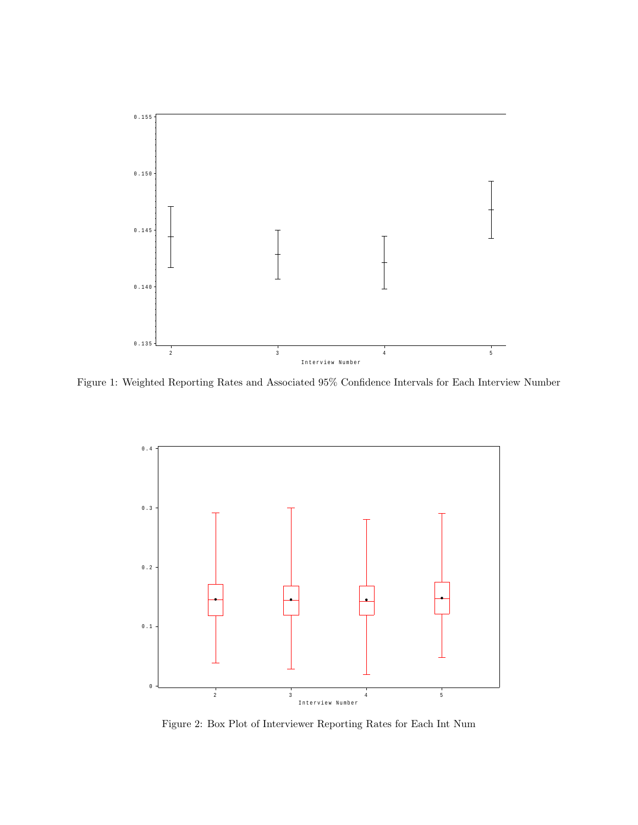

Figure 1: Weighted Reporting Rates and Associated 95% Confidence Intervals for Each Interview Number



Figure 2: Box Plot of Interviewer Reporting Rates for Each Int Num